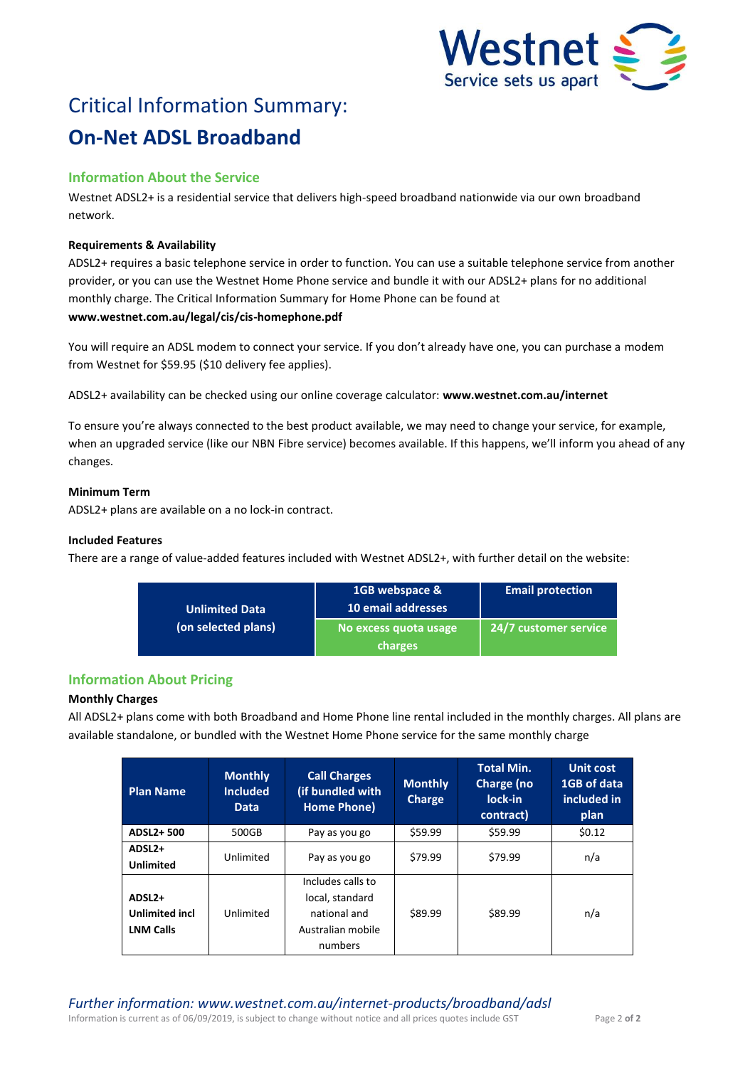

# Critical Information Summary: **On-Net ADSL Broadband**

# **Information About the Service**

Westnet ADSL2+ is a residential service that delivers high-speed broadband nationwide via our own broadband network.

## **Requirements & Availability**

ADSL2+ requires a basic telephone service in order to function. You can use a suitable telephone service from another provider, or you can use the Westnet Home Phone service and bundle it with our ADSL2+ plans for no additional monthly charge. The Critical Information Summary for Home Phone can be found at **www.westnet.com.au/legal/cis/cis-homephone.pdf**

You will require an ADSL modem to connect your service. If you don't already have one, you can purchase a modem from Westnet for \$59.95 (\$10 delivery fee applies).

ADSL2+ availability can be checked using our online coverage calculator: **www.westnet.com.au/internet**

To ensure you're always connected to the best product available, we may need to change your service, for example, when an upgraded service (like our NBN Fibre service) becomes available. If this happens, we'll inform you ahead of any changes.

## **Minimum Term**

ADSL2+ plans are available on a no lock-in contract.

## **Included Features**

There are a range of value-added features included with Westnet ADSL2+, with further detail on the website:

| <b>Unlimited Data</b> | 1GB webspace &<br>10 email addresses | <b>Email protection</b> |  |
|-----------------------|--------------------------------------|-------------------------|--|
| (on selected plans)   | No excess quota usage                | 24/7 customer service   |  |
|                       | charges                              |                         |  |

# **Information About Pricing**

# **Monthly Charges**

All ADSL2+ plans come with both Broadband and Home Phone line rental included in the monthly charges. All plans are available standalone, or bundled with the Westnet Home Phone service for the same monthly charge

| <b>Plan Name</b>                                                | <b>Monthly</b><br><b>Included</b><br><b>Data</b> | <b>Call Charges</b><br>(if bundled with<br>Home Phone)                               | <b>Monthly</b><br>Charge | <b>Total Min.</b><br>Charge (no<br>lock-in<br>contract) | <b>Unit cost</b><br>1GB of data<br>included in<br>plan |
|-----------------------------------------------------------------|--------------------------------------------------|--------------------------------------------------------------------------------------|--------------------------|---------------------------------------------------------|--------------------------------------------------------|
| ADSL2+500                                                       | 500GB                                            | Pay as you go                                                                        | \$59.99                  | \$59.99                                                 | \$0.12                                                 |
| ADSL <sub>2+</sub><br><b>Unlimited</b>                          | Unlimited                                        | Pay as you go                                                                        | \$79.99                  | \$79.99                                                 | n/a                                                    |
| ADSL <sub>2+</sub><br><b>Unlimited incl</b><br><b>LNM Calls</b> | Unlimited                                        | Includes calls to<br>local, standard<br>national and<br>Australian mobile<br>numbers | \$89.99                  | \$89.99                                                 | n/a                                                    |